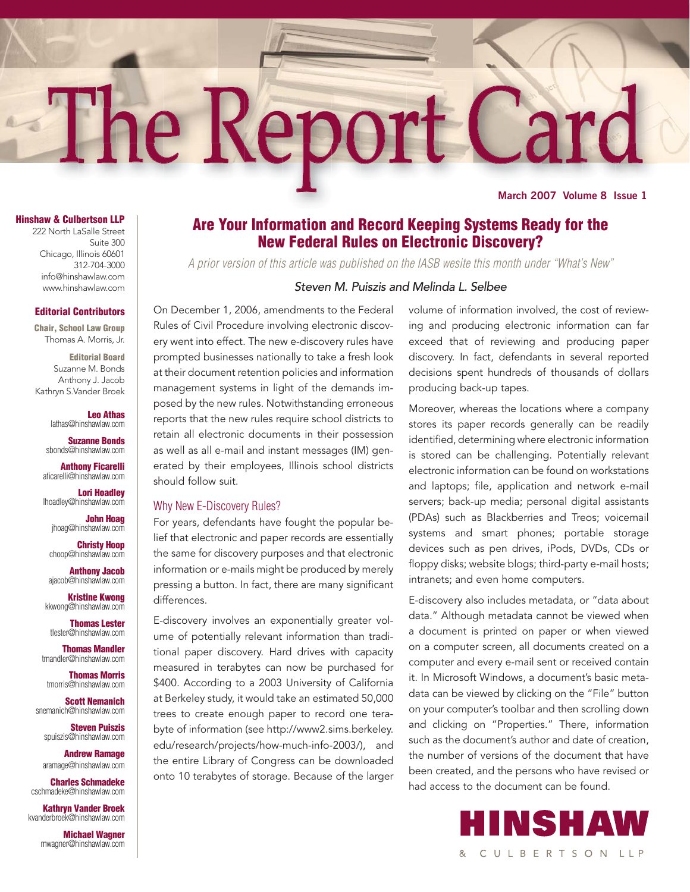# The Repor EO,

**March 2007 Volume 8 Issue 1**

#### **Hinshaw & Culbertson LLP**

222 North LaSalle Street Suite 300 Chicago, Illinois 60601 312-704-3000 info@hinshawlaw.com www.hinshawlaw.com

#### **Editorial Contributors**

**Chair, School Law Group** Thomas A. Morris, Jr.

**Editorial Board** Suzanne M. Bonds Anthony J. Jacob Kathryn S.Vander Broek

> **Leo Athas** lathas@hinshawlaw.com

**Suzanne Bonds** sbonds@hinshawlaw.com

**Anthony Ficarelli** aficarelli@hinshawlaw.com

**Lori Hoadley** lhoadley@hinshawlaw.com

> **John Hoag** jhoag@hinshawlaw.com

**Christy Hoop** choop@hinshawlaw.com

**Anthony Jacob** ajacob@hinshawlaw.com

**Kristine Kwong** kkwong@hinshawlaw.com

**Thomas Lester** tlester@hinshawlaw.com

**Thomas Mandler** tmandler@hinshawlaw.com

**Thomas Morris** tmorris@hinshawlaw.com

**Scott Nemanich** snemanich@hinshawlaw.com

> **Steven Puiszis** spuiszis@hinshawlaw.com

**Andrew Ramage** aramage@hinshawlaw.com

**Charles Schmadeke** cschmadeke@hinshawlaw.com

**Kathryn Vander Broek** kvanderbroek@hinshawlaw.com

> **Michael Wagner** mwagner@hinshawlaw.com

## **Are Your Information and Record Keeping Systems Ready for the New Federal Rules on Electronic Discovery?**

*A prior version of this article was published on the IASB wesite this month under "What's New"*

#### *Steven M. Puiszis and Melinda L. Selbee*

On December 1, 2006, amendments to the Federal Rules of Civil Procedure involving electronic discovery went into effect. The new e-discovery rules have prompted businesses nationally to take a fresh look at their document retention policies and information management systems in light of the demands imposed by the new rules. Notwithstanding erroneous reports that the new rules require school districts to retain all electronic documents in their possession as well as all e-mail and instant messages (IM) generated by their employees, Illinois school districts should follow suit.

#### Why New E-Discovery Rules?

For years, defendants have fought the popular belief that electronic and paper records are essentially the same for discovery purposes and that electronic information or e-mails might be produced by merely pressing a button. In fact, there are many significant differences.

E-discovery involves an exponentially greater volume of potentially relevant information than traditional paper discovery. Hard drives with capacity measured in terabytes can now be purchased for \$400. According to a 2003 University of California at Berkeley study, it would take an estimated 50,000 trees to create enough paper to record one terabyte of information (see http://www2.sims.berkeley. edu/research/projects/how-much-info-2003/), and the entire Library of Congress can be downloaded onto 10 terabytes of storage. Because of the larger volume of information involved, the cost of reviewing and producing electronic information can far exceed that of reviewing and producing paper discovery. In fact, defendants in several reported decisions spent hundreds of thousands of dollars producing back-up tapes.

Moreover, whereas the locations where a company stores its paper records generally can be readily identified, determining where electronic information is stored can be challenging. Potentially relevant electronic information can be found on workstations and laptops; file, application and network e-mail servers; back-up media; personal digital assistants (PDAs) such as Blackberries and Treos; voicemail systems and smart phones; portable storage devices such as pen drives, iPods, DVDs, CDs or floppy disks; website blogs; third-party e-mail hosts; intranets; and even home computers.

E-discovery also includes metadata, or "data about data." Although metadata cannot be viewed when a document is printed on paper or when viewed on a computer screen, all documents created on a computer and every e-mail sent or received contain it. In Microsoft Windows, a document's basic metadata can be viewed by clicking on the "File" button on your computer's toolbar and then scrolling down and clicking on "Properties." There, information such as the document's author and date of creation, the number of versions of the document that have been created, and the persons who have revised or had access to the document can be found.

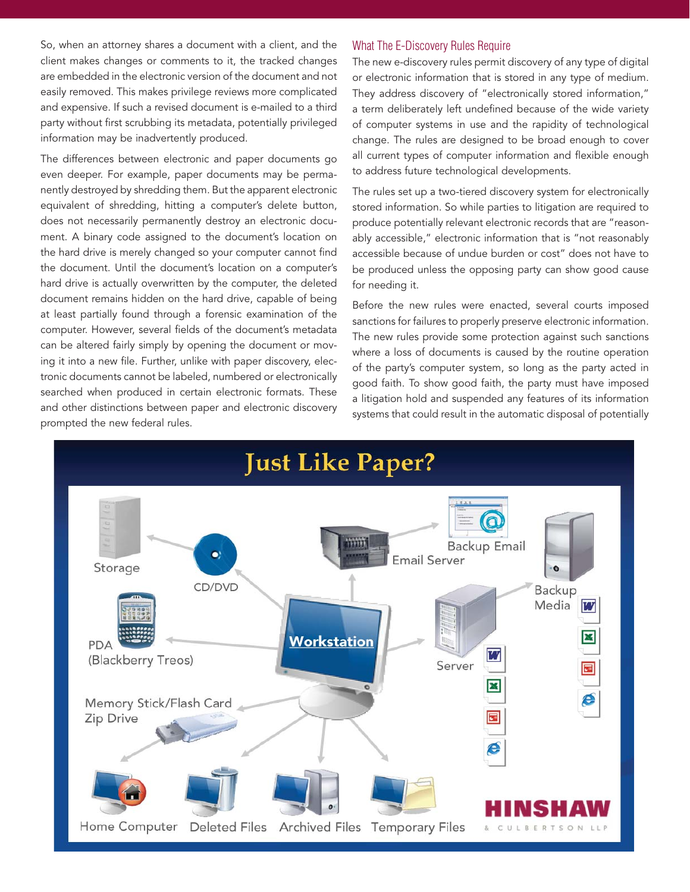So, when an attorney shares a document with a client, and the client makes changes or comments to it, the tracked changes are embedded in the electronic version of the document and not easily removed. This makes privilege reviews more complicated and expensive. If such a revised document is e-mailed to a third party without first scrubbing its metadata, potentially privileged information may be inadvertently produced.

The differences between electronic and paper documents go even deeper. For example, paper documents may be permanently destroyed by shredding them. But the apparent electronic equivalent of shredding, hitting a computer's delete button, does not necessarily permanently destroy an electronic document. A binary code assigned to the document's location on the hard drive is merely changed so your computer cannot find the document. Until the document's location on a computer's hard drive is actually overwritten by the computer, the deleted document remains hidden on the hard drive, capable of being at least partially found through a forensic examination of the computer. However, several fields of the document's metadata can be altered fairly simply by opening the document or moving it into a new file. Further, unlike with paper discovery, electronic documents cannot be labeled, numbered or electronically searched when produced in certain electronic formats. These and other distinctions between paper and electronic discovery prompted the new federal rules.

#### What The E-Discovery Rules Require

The new e-discovery rules permit discovery of any type of digital or electronic information that is stored in any type of medium. They address discovery of "electronically stored information," a term deliberately left undefined because of the wide variety of computer systems in use and the rapidity of technological change. The rules are designed to be broad enough to cover all current types of computer information and flexible enough to address future technological developments.

The rules set up a two-tiered discovery system for electronically stored information. So while parties to litigation are required to produce potentially relevant electronic records that are "reasonably accessible," electronic information that is "not reasonably accessible because of undue burden or cost" does not have to be produced unless the opposing party can show good cause for needing it.

Before the new rules were enacted, several courts imposed sanctions for failures to properly preserve electronic information. The new rules provide some protection against such sanctions where a loss of documents is caused by the routine operation of the party's computer system, so long as the party acted in good faith. To show good faith, the party must have imposed a litigation hold and suspended any features of its information systems that could result in the automatic disposal of potentially

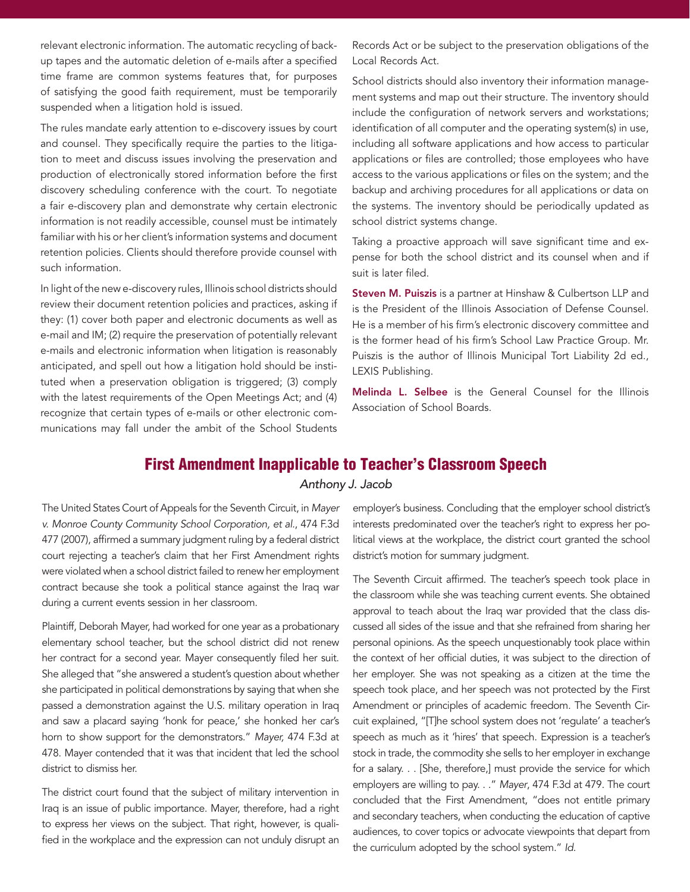relevant electronic information. The automatic recycling of backup tapes and the automatic deletion of e-mails after a specified time frame are common systems features that, for purposes of satisfying the good faith requirement, must be temporarily suspended when a litigation hold is issued.

The rules mandate early attention to e-discovery issues by court and counsel. They specifically require the parties to the litigation to meet and discuss issues involving the preservation and production of electronically stored information before the first discovery scheduling conference with the court. To negotiate a fair e-discovery plan and demonstrate why certain electronic information is not readily accessible, counsel must be intimately familiar with his or her client's information systems and document retention policies. Clients should therefore provide counsel with such information.

In light of the new e-discovery rules, Illinois school districts should review their document retention policies and practices, asking if they: (1) cover both paper and electronic documents as well as e-mail and IM; (2) require the preservation of potentially relevant e-mails and electronic information when litigation is reasonably anticipated, and spell out how a litigation hold should be instituted when a preservation obligation is triggered; (3) comply with the latest requirements of the Open Meetings Act; and (4) recognize that certain types of e-mails or other electronic communications may fall under the ambit of the School Students Records Act or be subject to the preservation obligations of the Local Records Act.

School districts should also inventory their information management systems and map out their structure. The inventory should include the configuration of network servers and workstations; identification of all computer and the operating system(s) in use, including all software applications and how access to particular applications or files are controlled; those employees who have access to the various applications or files on the system; and the backup and archiving procedures for all applications or data on the systems. The inventory should be periodically updated as school district systems change.

Taking a proactive approach will save significant time and expense for both the school district and its counsel when and if suit is later filed.

Steven M. Puiszis is a partner at Hinshaw & Culbertson LLP and is the President of the Illinois Association of Defense Counsel. He is a member of his firm's electronic discovery committee and is the former head of his firm's School Law Practice Group. Mr. Puiszis is the author of Illinois Municipal Tort Liability 2d ed., LEXIS Publishing.

Melinda L. Selbee is the General Counsel for the Illinois Association of School Boards.

### **First Amendment Inapplicable to Teacher's Classroom Speech**

*Anthony J. Jacob*

The United States Court of Appeals for the Seventh Circuit, in *Mayer v. Monroe County Community School Corporation, et al.*, 474 F.3d 477 (2007), affirmed a summary judgment ruling by a federal district court rejecting a teacher's claim that her First Amendment rights were violated when a school district failed to renew her employment contract because she took a political stance against the Iraq war during a current events session in her classroom.

Plaintiff, Deborah Mayer, had worked for one year as a probationary elementary school teacher, but the school district did not renew her contract for a second year. Mayer consequently filed her suit. She alleged that "she answered a student's question about whether she participated in political demonstrations by saying that when she passed a demonstration against the U.S. military operation in Iraq and saw a placard saying 'honk for peace,' she honked her car's horn to show support for the demonstrators." *Mayer,* 474 F.3d at 478. Mayer contended that it was that incident that led the school district to dismiss her.

The district court found that the subject of military intervention in Iraq is an issue of public importance. Mayer, therefore, had a right to express her views on the subject. That right, however, is qualified in the workplace and the expression can not unduly disrupt an employer's business. Concluding that the employer school district's interests predominated over the teacher's right to express her political views at the workplace, the district court granted the school district's motion for summary judgment.

The Seventh Circuit affirmed. The teacher's speech took place in the classroom while she was teaching current events. She obtained approval to teach about the Iraq war provided that the class discussed all sides of the issue and that she refrained from sharing her personal opinions. As the speech unquestionably took place within the context of her official duties, it was subject to the direction of her employer. She was not speaking as a citizen at the time the speech took place, and her speech was not protected by the First Amendment or principles of academic freedom. The Seventh Circuit explained, "[T]he school system does not 'regulate' a teacher's speech as much as it 'hires' that speech. Expression is a teacher's stock in trade, the commodity she sells to her employer in exchange for a salary. . . [She, therefore,] must provide the service for which employers are willing to pay. . ." *Mayer*, 474 F.3d at 479. The court concluded that the First Amendment, "does not entitle primary and secondary teachers, when conducting the education of captive audiences, to cover topics or advocate viewpoints that depart from the curriculum adopted by the school system." *Id.*